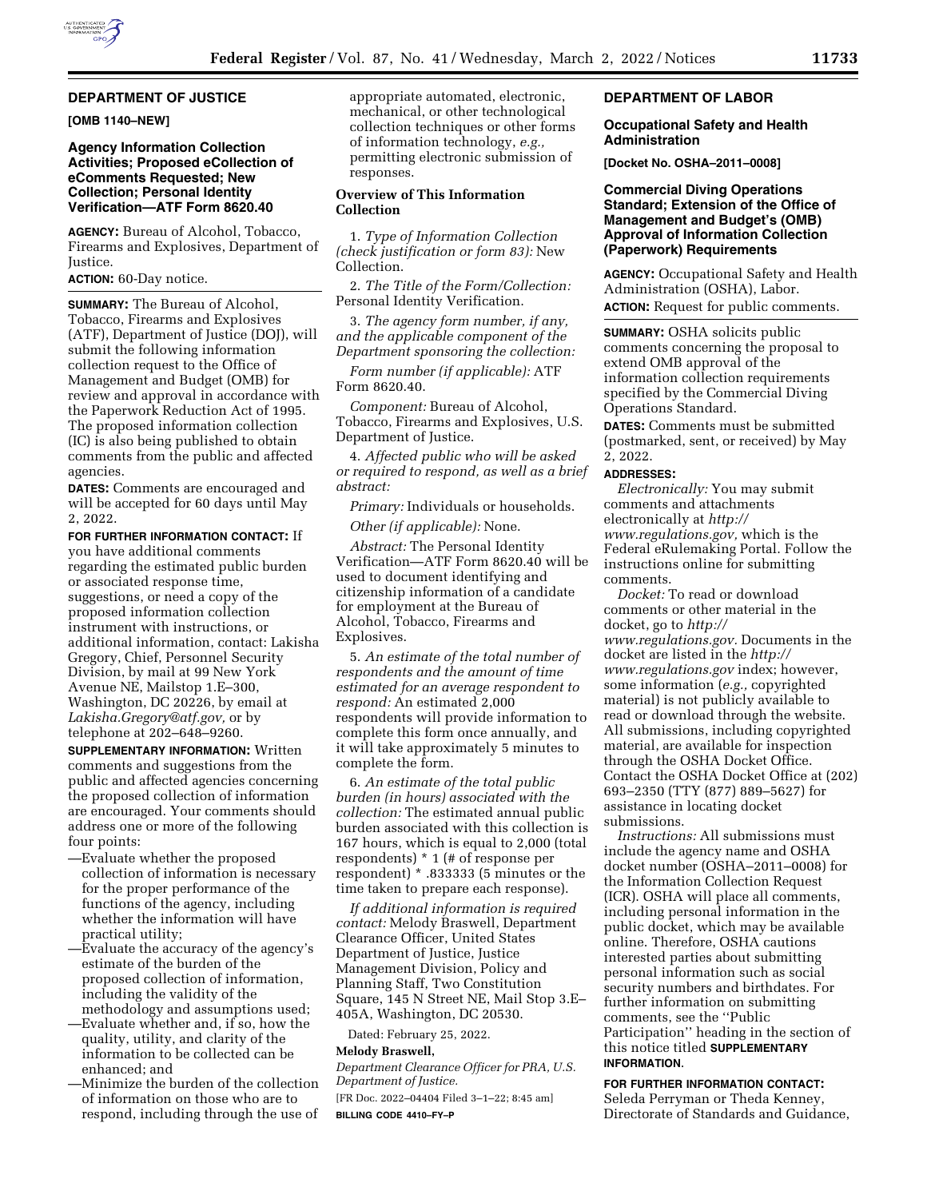

## **DEPARTMENT OF JUSTICE**

**[OMB 1140–NEW]** 

# **Agency Information Collection Activities; Proposed eCollection of eComments Requested; New Collection; Personal Identity Verification—ATF Form 8620.40**

**AGENCY:** Bureau of Alcohol, Tobacco, Firearms and Explosives, Department of Justice.

### **ACTION:** 60-Day notice.

**SUMMARY:** The Bureau of Alcohol, Tobacco, Firearms and Explosives (ATF), Department of Justice (DOJ), will submit the following information collection request to the Office of Management and Budget (OMB) for review and approval in accordance with the Paperwork Reduction Act of 1995. The proposed information collection (IC) is also being published to obtain comments from the public and affected agencies.

**DATES:** Comments are encouraged and will be accepted for 60 days until May 2, 2022.

#### **FOR FURTHER INFORMATION CONTACT:** If

you have additional comments regarding the estimated public burden or associated response time, suggestions, or need a copy of the proposed information collection instrument with instructions, or additional information, contact: Lakisha Gregory, Chief, Personnel Security Division, by mail at 99 New York Avenue NE, Mailstop 1.E–300, Washington, DC 20226, by email at *[Lakisha.Gregory@atf.gov,](mailto:Lakisha.Gregory@atf.gov)* or by telephone at 202–648–9260.

**SUPPLEMENTARY INFORMATION:** Written comments and suggestions from the public and affected agencies concerning the proposed collection of information are encouraged. Your comments should address one or more of the following four points:

- —Evaluate whether the proposed collection of information is necessary for the proper performance of the functions of the agency, including whether the information will have practical utility;
- —Evaluate the accuracy of the agency's estimate of the burden of the proposed collection of information, including the validity of the methodology and assumptions used;
- —Evaluate whether and, if so, how the quality, utility, and clarity of the information to be collected can be enhanced; and
- —Minimize the burden of the collection of information on those who are to respond, including through the use of

appropriate automated, electronic, mechanical, or other technological collection techniques or other forms of information technology, *e.g.,*  permitting electronic submission of responses.

### **Overview of This Information Collection**

1. *Type of Information Collection (check justification or form 83):* New Collection.

2. *The Title of the Form/Collection:*  Personal Identity Verification.

3. *The agency form number, if any, and the applicable component of the Department sponsoring the collection:* 

*Form number (if applicable):* ATF Form 8620.40.

*Component:* Bureau of Alcohol, Tobacco, Firearms and Explosives, U.S. Department of Justice.

4. *Affected public who will be asked or required to respond, as well as a brief abstract:* 

*Primary:* Individuals or households.

*Other (if applicable):* None.

*Abstract:* The Personal Identity Verification—ATF Form 8620.40 will be used to document identifying and citizenship information of a candidate for employment at the Bureau of Alcohol, Tobacco, Firearms and Explosives.

5. *An estimate of the total number of respondents and the amount of time estimated for an average respondent to respond:* An estimated 2,000 respondents will provide information to complete this form once annually, and it will take approximately 5 minutes to complete the form.

6. *An estimate of the total public burden (in hours) associated with the collection:* The estimated annual public burden associated with this collection is 167 hours, which is equal to 2,000 (total respondents) \* 1 (# of response per respondent) \* .833333 (5 minutes or the time taken to prepare each response).

*If additional information is required contact:* Melody Braswell, Department Clearance Officer, United States Department of Justice, Justice Management Division, Policy and Planning Staff, Two Constitution Square, 145 N Street NE, Mail Stop 3.E– 405A, Washington, DC 20530.

Dated: February 25, 2022.

# **Melody Braswell,**

*Department Clearance Officer for PRA, U.S. Department of Justice.* 

[FR Doc. 2022–04404 Filed 3–1–22; 8:45 am] **BILLING CODE 4410–FY–P** 

### **DEPARTMENT OF LABOR**

### **Occupational Safety and Health Administration**

**[Docket No. OSHA–2011–0008]** 

# **Commercial Diving Operations Standard; Extension of the Office of Management and Budget's (OMB) Approval of Information Collection (Paperwork) Requirements**

**AGENCY:** Occupational Safety and Health Administration (OSHA), Labor. **ACTION:** Request for public comments.

**SUMMARY:** OSHA solicits public comments concerning the proposal to extend OMB approval of the information collection requirements specified by the Commercial Diving Operations Standard.

**DATES:** Comments must be submitted (postmarked, sent, or received) by May 2, 2022.

# **ADDRESSES:**

*Electronically:* You may submit comments and attachments electronically at *[http://](http://www.regulations.gov) [www.regulations.gov,](http://www.regulations.gov)* which is the Federal eRulemaking Portal. Follow the instructions online for submitting comments.

*Docket:* To read or download comments or other material in the docket, go to *[http://](http://www.regulations.gov) [www.regulations.gov.](http://www.regulations.gov)* Documents in the docket are listed in the *[http://](http://www.regulations.gov) [www.regulations.gov](http://www.regulations.gov)* index; however, some information (*e.g.,* copyrighted material) is not publicly available to read or download through the website. All submissions, including copyrighted material, are available for inspection through the OSHA Docket Office. Contact the OSHA Docket Office at (202) 693–2350 (TTY (877) 889–5627) for assistance in locating docket submissions.

*Instructions:* All submissions must include the agency name and OSHA docket number (OSHA–2011–0008) for the Information Collection Request (ICR). OSHA will place all comments, including personal information in the public docket, which may be available online. Therefore, OSHA cautions interested parties about submitting personal information such as social security numbers and birthdates. For further information on submitting comments, see the ''Public Participation'' heading in the section of this notice titled **SUPPLEMENTARY INFORMATION**.

**FOR FURTHER INFORMATION CONTACT:**  Seleda Perryman or Theda Kenney, Directorate of Standards and Guidance,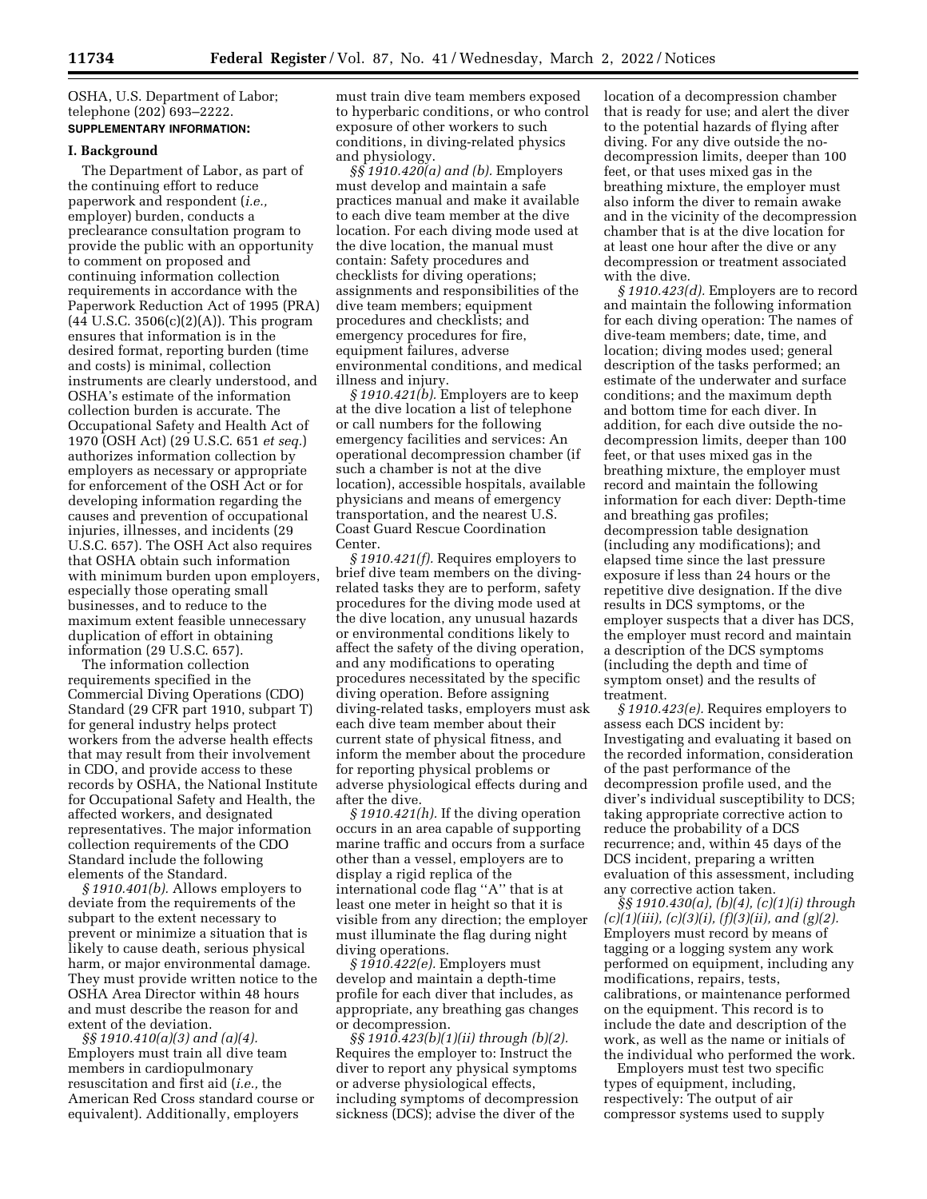OSHA, U.S. Department of Labor; telephone (202) 693–2222. **SUPPLEMENTARY INFORMATION:** 

#### **I. Background**

The Department of Labor, as part of the continuing effort to reduce paperwork and respondent (*i.e.,*  employer) burden, conducts a preclearance consultation program to provide the public with an opportunity to comment on proposed and continuing information collection requirements in accordance with the Paperwork Reduction Act of 1995 (PRA)  $(44 \text{ U.S.C. } 3506(c)(2)(A))$ . This program ensures that information is in the desired format, reporting burden (time and costs) is minimal, collection instruments are clearly understood, and OSHA's estimate of the information collection burden is accurate. The Occupational Safety and Health Act of 1970 (OSH Act) (29 U.S.C. 651 *et seq.*) authorizes information collection by employers as necessary or appropriate for enforcement of the OSH Act or for developing information regarding the causes and prevention of occupational injuries, illnesses, and incidents (29 U.S.C. 657). The OSH Act also requires that OSHA obtain such information with minimum burden upon employers, especially those operating small businesses, and to reduce to the maximum extent feasible unnecessary duplication of effort in obtaining information (29 U.S.C. 657).

The information collection requirements specified in the Commercial Diving Operations (CDO) Standard (29 CFR part 1910, subpart T) for general industry helps protect workers from the adverse health effects that may result from their involvement in CDO, and provide access to these records by OSHA, the National Institute for Occupational Safety and Health, the affected workers, and designated representatives. The major information collection requirements of the CDO Standard include the following elements of the Standard.

*§ 1910.401(b).* Allows employers to deviate from the requirements of the subpart to the extent necessary to prevent or minimize a situation that is likely to cause death, serious physical harm, or major environmental damage. They must provide written notice to the OSHA Area Director within 48 hours and must describe the reason for and extent of the deviation.

*§§ 1910.410(a)(3) and (a)(4).*  Employers must train all dive team members in cardiopulmonary resuscitation and first aid (*i.e.,* the American Red Cross standard course or equivalent). Additionally, employers

must train dive team members exposed to hyperbaric conditions, or who control exposure of other workers to such conditions, in diving-related physics and physiology.

*§§ 1910.420(a) and (b).* Employers must develop and maintain a safe practices manual and make it available to each dive team member at the dive location. For each diving mode used at the dive location, the manual must contain: Safety procedures and checklists for diving operations; assignments and responsibilities of the dive team members; equipment procedures and checklists; and emergency procedures for fire, equipment failures, adverse environmental conditions, and medical illness and injury.

*§ 1910.421(b).* Employers are to keep at the dive location a list of telephone or call numbers for the following emergency facilities and services: An operational decompression chamber (if such a chamber is not at the dive location), accessible hospitals, available physicians and means of emergency transportation, and the nearest U.S. Coast Guard Rescue Coordination Center.

*§ 1910.421(f).* Requires employers to brief dive team members on the divingrelated tasks they are to perform, safety procedures for the diving mode used at the dive location, any unusual hazards or environmental conditions likely to affect the safety of the diving operation, and any modifications to operating procedures necessitated by the specific diving operation. Before assigning diving-related tasks, employers must ask each dive team member about their current state of physical fitness, and inform the member about the procedure for reporting physical problems or adverse physiological effects during and after the dive.

*§ 1910.421(h).* If the diving operation occurs in an area capable of supporting marine traffic and occurs from a surface other than a vessel, employers are to display a rigid replica of the international code flag ''A'' that is at least one meter in height so that it is visible from any direction; the employer must illuminate the flag during night diving operations.

*§ 1910.422(e).* Employers must develop and maintain a depth-time profile for each diver that includes, as appropriate, any breathing gas changes or decompression.

*§§ 1910.423(b)(1)(ii) through (b)(2).*  Requires the employer to: Instruct the diver to report any physical symptoms or adverse physiological effects, including symptoms of decompression sickness (DCS); advise the diver of the

location of a decompression chamber that is ready for use; and alert the diver to the potential hazards of flying after diving. For any dive outside the nodecompression limits, deeper than 100 feet, or that uses mixed gas in the breathing mixture, the employer must also inform the diver to remain awake and in the vicinity of the decompression chamber that is at the dive location for at least one hour after the dive or any decompression or treatment associated with the dive.

*§ 1910.423(d).* Employers are to record and maintain the following information for each diving operation: The names of dive-team members; date, time, and location; diving modes used; general description of the tasks performed; an estimate of the underwater and surface conditions; and the maximum depth and bottom time for each diver. In addition, for each dive outside the nodecompression limits, deeper than 100 feet, or that uses mixed gas in the breathing mixture, the employer must record and maintain the following information for each diver: Depth-time and breathing gas profiles; decompression table designation (including any modifications); and elapsed time since the last pressure exposure if less than 24 hours or the repetitive dive designation. If the dive results in DCS symptoms, or the employer suspects that a diver has DCS, the employer must record and maintain a description of the DCS symptoms (including the depth and time of symptom onset) and the results of treatment.

*§ 1910.423(e).* Requires employers to assess each DCS incident by: Investigating and evaluating it based on the recorded information, consideration of the past performance of the decompression profile used, and the diver's individual susceptibility to DCS; taking appropriate corrective action to reduce the probability of a DCS recurrence; and, within 45 days of the DCS incident, preparing a written evaluation of this assessment, including any corrective action taken.

*§§ 1910.430(a), (b)(4), (c)(1)(i) through (c)(1)(iii), (c)(3)(i), (f)(3)(ii), and (g)(2).*  Employers must record by means of tagging or a logging system any work performed on equipment, including any modifications, repairs, tests, calibrations, or maintenance performed on the equipment. This record is to include the date and description of the work, as well as the name or initials of the individual who performed the work.

Employers must test two specific types of equipment, including, respectively: The output of air compressor systems used to supply